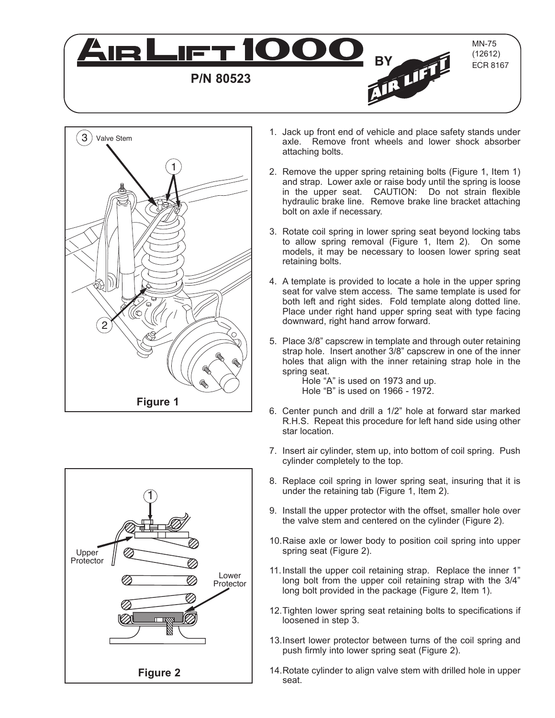





- 1. Jack up front end of vehicle and place safety stands under axle. Remove front wheels and lower shock absorber attaching bolts.
- 2. Remove the upper spring retaining bolts (Figure 1, Item 1) and strap. Lower axle or raise body until the spring is loose in the upper seat. CAUTION: Do not strain flexible hydraulic brake line. Remove brake line bracket attaching bolt on axle if necessary.
- 3. Rotate coil spring in lower spring seat beyond locking tabs to allow spring removal (Figure 1, Item 2). On some models, it may be necessary to loosen lower spring seat retaining bolts.
- 4. A template is provided to locate a hole in the upper spring seat for valve stem access. The same template is used for both left and right sides. Fold template along dotted line. Place under right hand upper spring seat with type facing downward, right hand arrow forward.
- 5. Place 3/8" capscrew in template and through outer retaining strap hole. Insert another 3/8" capscrew in one of the inner holes that align with the inner retaining strap hole in the spring seat.

Hole "A" is used on 1973 and up. Hole "B" is used on 1966 - 1972.

- 6. Center punch and drill a 1/2" hole at forward star marked R.H.S. Repeat this procedure for left hand side using other star location.
- 7. Insert air cylinder, stem up, into bottom of coil spring. Push cylinder completely to the top.
- 8. Replace coil spring in lower spring seat, insuring that it is under the retaining tab (Figure 1, Item 2).
- 9. Install the upper protector with the offset, smaller hole over the valve stem and centered on the cylinder (Figure 2).
- 10.Raise axle or lower body to position coil spring into upper spring seat (Figure 2).
- 11.Install the upper coil retaining strap. Replace the inner 1" long bolt from the upper coil retaining strap with the 3/4" long bolt provided in the package (Figure 2, Item 1).
- 12.Tighten lower spring seat retaining bolts to specifications if loosened in step 3.
- 13.Insert lower protector between turns of the coil spring and push firmly into lower spring seat (Figure 2).
- 14.Rotate cylinder to align valve stem with drilled hole in upper seat.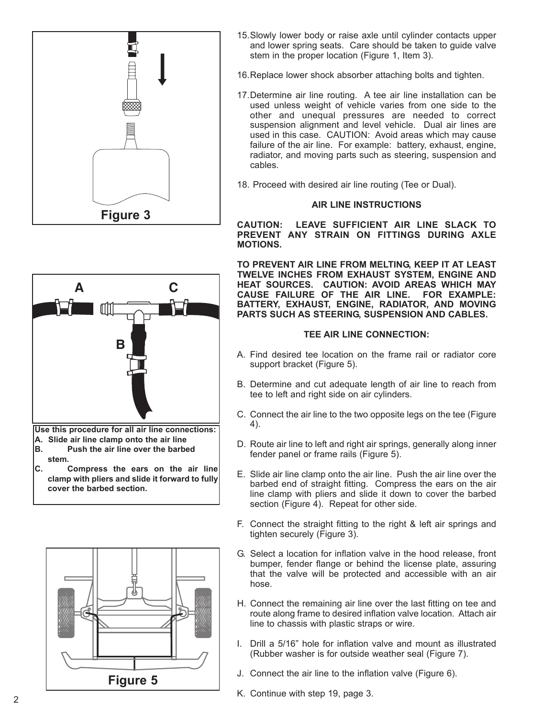

- **C A** ſП **B Use this procedure for all air line connections: A. Slide air line clamp onto the air line**
- **B. Push the air line over the barbed stem.**
- **C. Compress the ears on the air line clamp with pliers and slide it forward to fully cover the barbed section.**



- 15.Slowly lower body or raise axle until cylinder contacts upper and lower spring seats. Care should be taken to guide valve stem in the proper location (Figure 1, Item 3).
- 16.Replace lower shock absorber attaching bolts and tighten.
- 17.Determine air line routing. A tee air line installation can be used unless weight of vehicle varies from one side to the other and unequal pressures are needed to correct suspension alignment and level vehicle. Dual air lines are used in this case. CAUTION: Avoid areas which may cause failure of the air line. For example: battery, exhaust, engine, radiator, and moving parts such as steering, suspension and cables.
- 18. Proceed with desired air line routing (Tee or Dual).

# **AIR LINE INSTRUCTIONS**

**CAUTION: LEAVE SUFFICIENT AIR LINE SLACK TO PREVENT ANY STRAIN ON FITTINGS DURING AXLE MOTIONS.**

**TO PREVENT AIR LINE FROM MELTING, KEEP IT AT LEAST TWELVE INCHES FROM EXHAUST SYSTEM, ENGINE AND HEAT SOURCES. CAUTION: AVOID AREAS WHICH MAY CAUSE FAILURE OF THE AIR LINE. FOR EXAMPLE: BATTERY, EXHAUST, ENGINE, RADIATOR, AND MOVING PARTS SUCH AS STEERING, SUSPENSION AND CABLES.**

## **TEE AIR LINE CONNECTION:**

- A. Find desired tee location on the frame rail or radiator core support bracket (Figure 5).
- B. Determine and cut adequate length of air line to reach from tee to left and right side on air cylinders.
- C. Connect the air line to the two opposite legs on the tee (Figure 4).
- D. Route air line to left and right air springs, generally along inner fender panel or frame rails (Figure 5).
- E. Slide air line clamp onto the air line. Push the air line over the barbed end of straight fitting. Compress the ears on the air line clamp with pliers and slide it down to cover the barbed section (Figure 4). Repeat for other side.
- F. Connect the straight fitting to the right & left air springs and tighten securely (Figure 3).
- G. Select a location for inflation valve in the hood release, front bumper, fender flange or behind the license plate, assuring that the valve will be protected and accessible with an air hose.
- H. Connect the remaining air line over the last fitting on tee and route along frame to desired inflation valve location. Attach air line to chassis with plastic straps or wire.
- I. Drill a 5/16" hole for inflation valve and mount as illustrated (Rubber washer is for outside weather seal (Figure 7).
- J. Connect the air line to the inflation valve (Figure 6).
- K. Continue with step 19, page 3.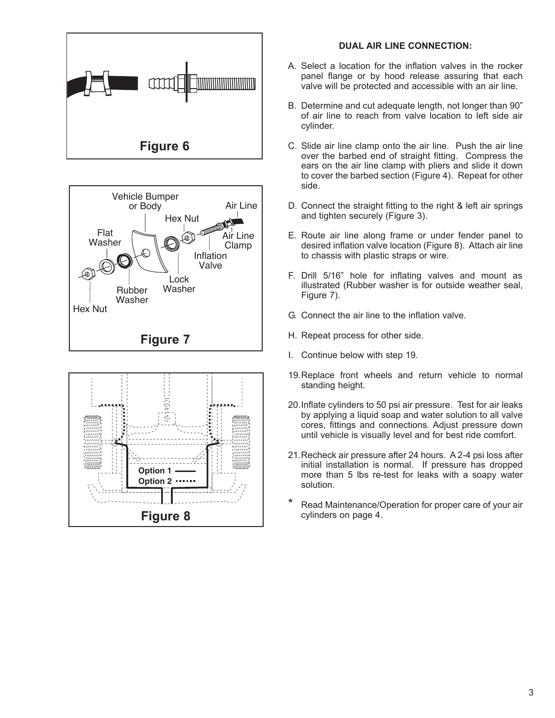





#### **DUAL AIR LINE CONNECTION:**

- A. Select a location for the inflation valves in the rocker panel flange or by hood release assuring that each valve will be protected and accessible with an air line.
- B. Determine and cut adequate length, not longer than 90" of air line to reach from valve location to left side air cylinder.
- C. Slide air line clamp onto the air line. Push the air line over the barbed end of straight fitting. Compress the ears on the air line clamp with pliers and slide it down to cover the barbed section (Figure 4). Repeat for other side.
- D. Connect the straight fitting to the right & left air springs and tighten securely (Figure 3).
- E. Route air line along frame or under fender panel to desired inflation valve location (Figure 8). Attach air line to chassis with plastic straps or wire.
- F. Drill 5/16" hole for inflating valves and mount as illustrated (Rubber washer is for outside weather seal, Figure 7).
- G. Connect the air line to the inflation valve.
- H. Repeat process for other side.
- I. Continue below with step 19.
- 19.Replace front wheels and return vehicle to normal standing height.
- 20.Inflate cylinders to 50 psi air pressure. Test for air leaks by applying a liquid soap and water solution to all valve cores, fittings and connections. Adjust pressure down until vehicle is visually level and for best ride comfort.
- 21.Recheck air pressure after 24 hours. A 2-4 psi loss after initial installation is normal. If pressure has dropped more than 5 lbs re-test for leaks with a soapy water solution.
- Read Maintenance/Operation for proper care of your air cylinders on page 4.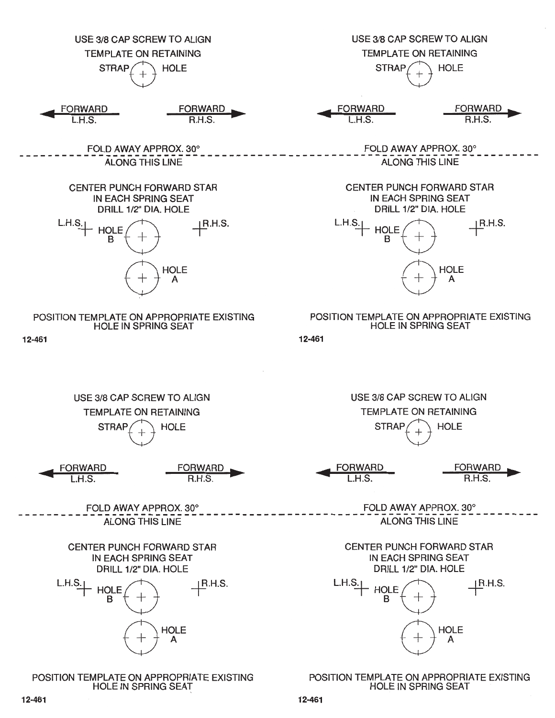

12-461